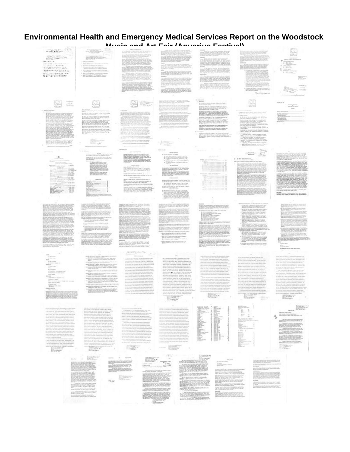## **Environmental Health and Emergency Medical Services Report on the Woodstock**